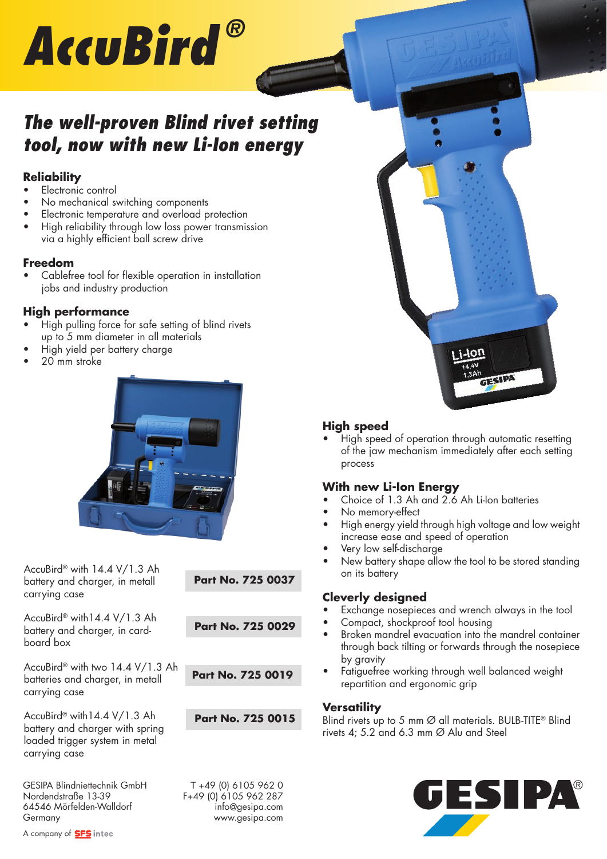# *AccuBird ®*

# *The well-proven Blind rivet setting tool, now with new Li-Ion energy*

## **Reliability**

- Electronic control
- No mechanical switching components
- Electronic temperature and overload protection
- High reliability through low loss power transmission via a highly efficient ball screw drive

# **Freedom**

Cablefree tool for flexible operation in installation jobs and industry production

# **High performance**

- High pulling force for safe setting of blind rivets up to 5 mm diameter in all materials
- High yield per battery charge
- 20 mm stroke



AccuBird® with 14.4 V/1.3 Ah battery and charger, in metall carrying case

AccuBird® with14.4 V/1.3 Ah battery and charger, in cardboard box

AccuBird® with two 14.4 V/1.3 Ah batteries and charger, in metall carrying case

AccuBird® with14.4 V/1.3 Ah battery and charger with spring loaded trigger system in metal carrying case

GESIPA Blindniettechnik GmbH<br>
Nordendstraße 13-39<br>
F+49 (0) 6105 962 287 64546 Mörfelden-Walldorf info@gesipa.com Germany www.gesipa.com

**Part No. 725 0037**

**Part No. 725 0029**

**Part No. 725 0019**

**Part No. 725 0015**

F+49 (0) 6105 962 287



## **High speed**

• High speed of operation through automatic resetting of the jaw mechanism immediately after each setting process

## **With new Li-Ion Energy**

- Choice of 1.3 Ah and 2.6 Ah Li-Ion batteries
- No memory-effect
- High energy yield through high voltage and low weight increase ease and speed of operation
- Very low self-discharge
- New battery shape allow the tool to be stored standing on its battery

#### **Cleverly designed**

- Exchange nosepieces and wrench always in the tool
- Compact, shockproof tool housing
- Broken mandrel evacuation into the mandrel container through back tilting or forwards through the nosepiece by gravity
- Fatiguefree working through well balanced weight repartition and ergonomic grip

#### **Versatility**

Blind rivets up to 5 mm Ø all materials. BULB-TITE® Blind rivets 4: 5.2 and 6.3 mm  $\varnothing$  Alu and Steel



A company of **SFS** intec